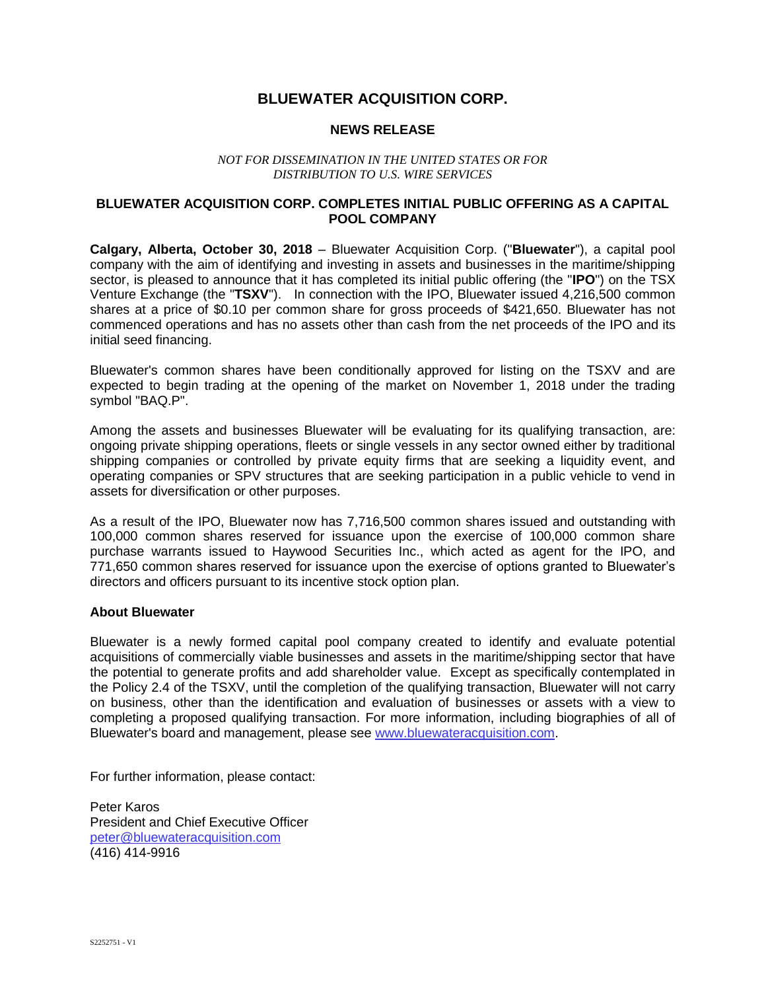# **BLUEWATER ACQUISITION CORP.**

# **NEWS RELEASE**

#### *NOT FOR DISSEMINATION IN THE UNITED STATES OR FOR DISTRIBUTION TO U.S. WIRE SERVICES*

### **BLUEWATER ACQUISITION CORP. COMPLETES INITIAL PUBLIC OFFERING AS A CAPITAL POOL COMPANY**

**Calgary, Alberta, October 30, 2018** – Bluewater Acquisition Corp. ("**Bluewater**"), a capital pool company with the aim of identifying and investing in assets and businesses in the maritime/shipping sector, is pleased to announce that it has completed its initial public offering (the "**IPO**") on the TSX Venture Exchange (the "**TSXV**"). In connection with the IPO, Bluewater issued 4,216,500 common shares at a price of \$0.10 per common share for gross proceeds of \$421,650. Bluewater has not commenced operations and has no assets other than cash from the net proceeds of the IPO and its initial seed financing.

Bluewater's common shares have been conditionally approved for listing on the TSXV and are expected to begin trading at the opening of the market on November 1, 2018 under the trading symbol "BAQ.P".

Among the assets and businesses Bluewater will be evaluating for its qualifying transaction, are: ongoing private shipping operations, fleets or single vessels in any sector owned either by traditional shipping companies or controlled by private equity firms that are seeking a liquidity event, and operating companies or SPV structures that are seeking participation in a public vehicle to vend in assets for diversification or other purposes.

As a result of the IPO, Bluewater now has 7,716,500 common shares issued and outstanding with 100,000 common shares reserved for issuance upon the exercise of 100,000 common share purchase warrants issued to Haywood Securities Inc., which acted as agent for the IPO, and 771,650 common shares reserved for issuance upon the exercise of options granted to Bluewater's directors and officers pursuant to its incentive stock option plan.

# **About Bluewater**

Bluewater is a newly formed capital pool company created to identify and evaluate potential acquisitions of commercially viable businesses and assets in the maritime/shipping sector that have the potential to generate profits and add shareholder value. Except as specifically contemplated in the Policy 2.4 of the TSXV, until the completion of the qualifying transaction, Bluewater will not carry on business, other than the identification and evaluation of businesses or assets with a view to completing a proposed qualifying transaction. For more information, including biographies of all of Bluewater's board and management, please see [www.bluewateracquisition.com.](http://www.bluewateracquisition.com/)

For further information, please contact:

Peter Karos President and Chief Executive Officer [peter@bluewateracquisition.com](mailto:414-9916peter@bluewateracquisition.com) (416) 414-9916